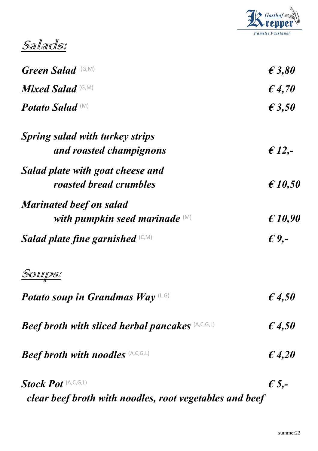

Sallads:

| <b>Green Salad</b> (G,M)                                | $\epsilon$ 3,80  |
|---------------------------------------------------------|------------------|
| <b>Mixed Salad</b> (G,M)                                | $\epsilon$ 4,70  |
| <b>Potato Salad</b> (M)                                 | $\epsilon$ 3,50  |
| Spring salad with turkey strips                         |                  |
| and roasted champignons                                 | $\epsilon$ 12,-  |
| Salad plate with goat cheese and                        |                  |
| roasted bread crumbles                                  | $\epsilon$ 10,50 |
| <b>Marinated beef on salad</b>                          |                  |
| with pumpkin seed marinade $(M)$                        | $\epsilon$ 10,90 |
| Salad plate fine garnished $(C, M)$                     | $\epsilon$ 9,-   |
| <u>Sourps:</u>                                          |                  |
| Potato soup in Grandmas Way $(L, G)$                    | $\epsilon$ 4,50  |
| <b>Beef broth with sliced herbal pancakes (A,C,G,L)</b> | $\epsilon$ 4,50  |
| <b>Beef broth with noodles</b> (A,C,G,L)                | $\epsilon$ 4,20  |
| Stock Pot (A,C,G,L)                                     | $\epsilon$ 5,-   |

clear beef broth with noodles, root vegetables and beef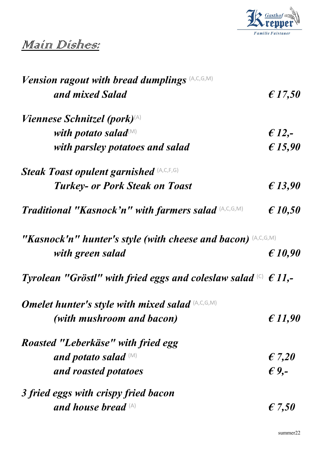

#### Main Dishes:

| <b>Vension ragout with bread dumplings (A,C,G,M)</b>                           |                  |
|--------------------------------------------------------------------------------|------------------|
| and mixed Salad                                                                | $\epsilon$ 17,50 |
| <i>Viennese Schnitzel (pork)</i> <sup>(A)</sup>                                |                  |
| with potato salad $\mathbb{M}$                                                 | $£ 12, -$        |
| with parsley potatoes and salad                                                | £ 15,90          |
| <b>Steak Toast opulent garnished (A,C,E,G)</b>                                 |                  |
| <b>Turkey- or Pork Steak on Toast</b>                                          | £13,90           |
| Traditional "Kasnock'n" with farmers salad (A,C,G,M)                           | $\epsilon$ 10,50 |
| "Kasnock'n" hunter's style (with cheese and bacon) (A,C,G,M)                   |                  |
| with green salad                                                               | $\epsilon$ 10.90 |
| Tyrolean "Gröstl" with fried eggs and coleslaw salad $\binom{c}{0}$ $\in$ 11,- |                  |
| <b>Omelet hunter's style with mixed salad (A,C,G,M)</b>                        |                  |
| (with mushroom and bacon)                                                      | £11,90           |
| Roasted "Leberkäse" with fried egg                                             |                  |
| and potato salad (M)                                                           | $\epsilon$ 7,20  |
| and roasted potatoes                                                           | $\epsilon$ 9,-   |
| 3 fried eggs with crispy fried bacon                                           |                  |
| and house bread $(A)$                                                          | $\epsilon$ 7,50  |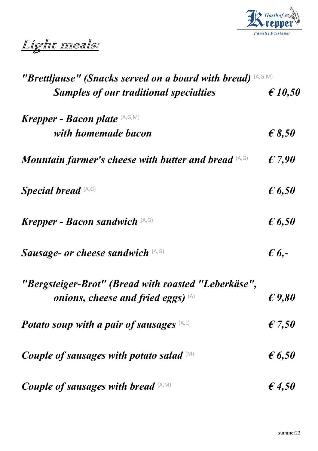

## Light meals:

| "Brettljause" (Snacks served on a board with bread) (A,G,M) |                  |
|-------------------------------------------------------------|------------------|
| <b>Samples of our traditional specialties</b>               | $\epsilon$ 10,50 |
| Krepper - Bacon plate $(A, G, M)$                           |                  |
| with homemade bacon                                         | $\epsilon$ 8,50  |
| <b>Mountain farmer's cheese with butter and bread (A,G)</b> | $\epsilon$ 7,90  |
| <b>Special bread</b> (A,G)                                  | $\epsilon$ 6,50  |
| Krepper - Bacon sandwich $(A, G)$                           | $\epsilon$ 6,50  |
| Sausage- or cheese sandwich (A,G)                           | $\epsilon$ 6,-   |
| "Bergsteiger-Brot" (Bread with roasted "Leberkäse",         |                  |
| onions, cheese and fried eggs) $(A)$                        | $\epsilon$ 9,80  |
| Potato soup with a pair of sausages $(A, L)$                | $\epsilon$ 7,50  |
| Couple of sausages with potato salad $(M)$                  | $\epsilon$ 6,50  |
| Couple of sausages with bread $(A, M)$                      | $\epsilon$ 4,50  |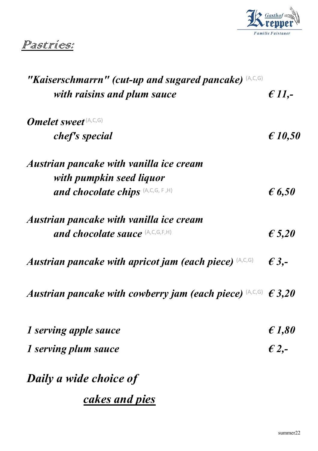

#### Pastries:

| "Kaiserschmarrn" (cut-up and sugared pancake) (A,C,G)              |                  |
|--------------------------------------------------------------------|------------------|
| with raisins and plum sauce                                        | $\epsilon$ 11,-  |
| <b>Omelet sweet</b> (A,C,G)                                        |                  |
| chef's special                                                     | $\epsilon$ 10,50 |
| Austrian pancake with vanilla ice cream                            |                  |
| with pumpkin seed liquor                                           |                  |
| and chocolate chips (A,C,G, F,H)                                   | $\epsilon$ 6,50  |
| Austrian pancake with vanilla ice cream                            |                  |
| and chocolate sauce (A,C,G,F,H)                                    | $\epsilon$ 5,20  |
| Austrian pancake with apricot jam (each piece) $(A,C,G)$           | $\epsilon$ 3,-   |
| Austrian pancake with cowberry jam (each piece) $(A,C,G) \in 3,20$ |                  |
| 1 serving apple sauce                                              | $\epsilon$ 1,80  |
| 1 serving plum sauce                                               | $\epsilon$ 2,-   |
| Daily a wide choice of                                             |                  |
|                                                                    |                  |
| <u>cakes and pies</u>                                              |                  |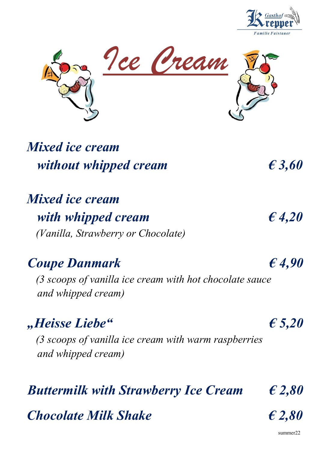



### Mixed ice cream without whipped cream  $\epsilon$  3,60

#### Mixed ice cream with whipped cream  $\epsilon$  4,20 (Vanilla, Strawberry or Chocolate)

# Coupe Danmark  $\epsilon$  4,90

 (3 scoops of vanilla ice cream with hot chocolate sauce and whipped cream)

#### ", Heisse Liebe"  $\epsilon$  5,20

 (3 scoops of vanilla ice cream with warm raspberries and whipped cream)

#### Buttermilk with Strawberry Ice Cream  $\epsilon$  2,80

Chocolate Milk Shake  $\epsilon$  2,80